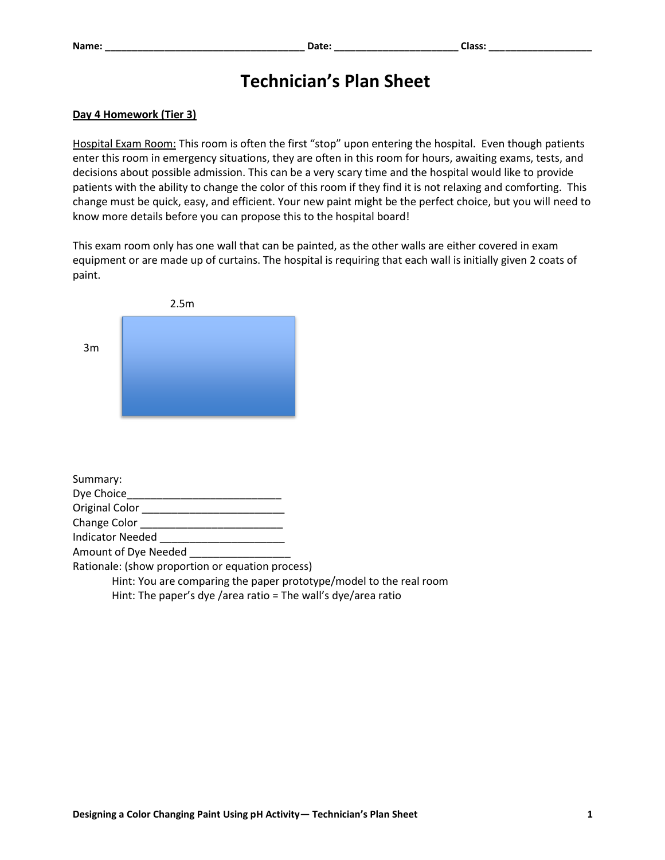## **Technician's Plan Sheet**

## **Day 4 Homework (Tier 3)**

Hospital Exam Room: This room is often the first "stop" upon entering the hospital. Even though patients enter this room in emergency situations, they are often in this room for hours, awaiting exams, tests, and decisions about possible admission. This can be a very scary time and the hospital would like to provide patients with the ability to change the color of this room if they find it is not relaxing and comforting. This change must be quick, easy, and efficient. Your new paint might be the perfect choice, but you will need to know more details before you can propose this to the hospital board!

This exam room only has one wall that can be painted, as the other walls are either covered in exam equipment or are made up of curtains. The hospital is requiring that each wall is initially given 2 coats of paint.

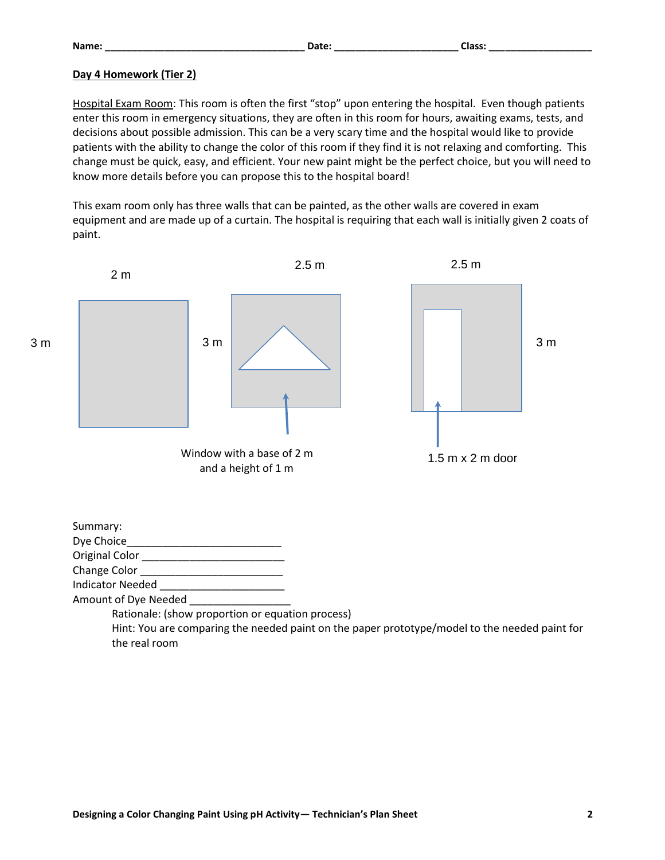## **Day 4 Homework (Tier 2)**

Hospital Exam Room: This room is often the first "stop" upon entering the hospital. Even though patients enter this room in emergency situations, they are often in this room for hours, awaiting exams, tests, and decisions about possible admission. This can be a very scary time and the hospital would like to provide patients with the ability to change the color of this room if they find it is not relaxing and comforting. This change must be quick, easy, and efficient. Your new paint might be the perfect choice, but you will need to know more details before you can propose this to the hospital board!

This exam room only has three walls that can be painted, as the other walls are covered in exam equipment and are made up of a curtain. The hospital is requiring that each wall is initially given 2 coats of paint.